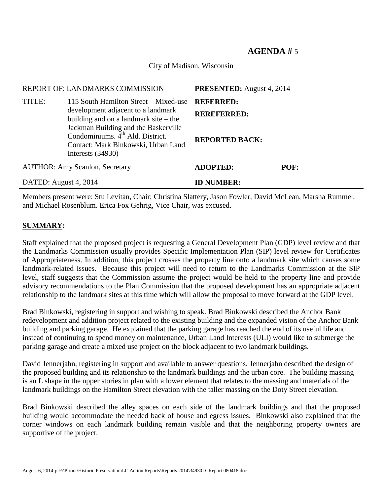## **AGENDA #** 5

City of Madison, Wisconsin

| REPORT OF: LANDMARKS COMMISSION       |                                                                                                                                                    | <b>PRESENTED:</b> August 4, 2014       |      |
|---------------------------------------|----------------------------------------------------------------------------------------------------------------------------------------------------|----------------------------------------|------|
| TITLE:                                | 115 South Hamilton Street – Mixed-use<br>development adjacent to a landmark<br>building and on a landmark site $-$ the                             | <b>REFERRED:</b><br><b>REREFERRED:</b> |      |
|                                       | Jackman Building and the Baskerville<br>Condominiums. 4 <sup>th</sup> Ald. District.<br>Contact: Mark Binkowski, Urban Land<br>Interests $(34930)$ | <b>REPORTED BACK:</b>                  |      |
| <b>AUTHOR: Amy Scanlon, Secretary</b> |                                                                                                                                                    | <b>ADOPTED:</b>                        | POF: |
| DATED: August 4, 2014                 |                                                                                                                                                    | <b>ID NUMBER:</b>                      |      |

Members present were: Stu Levitan, Chair; Christina Slattery, Jason Fowler, David McLean, Marsha Rummel, and Michael Rosenblum. Erica Fox Gehrig, Vice Chair, was excused.

## **SUMMARY:**

Staff explained that the proposed project is requesting a General Development Plan (GDP) level review and that the Landmarks Commission usually provides Specific Implementation Plan (SIP) level review for Certificates of Appropriateness. In addition, this project crosses the property line onto a landmark site which causes some landmark-related issues. Because this project will need to return to the Landmarks Commission at the SIP level, staff suggests that the Commission assume the project would be held to the property line and provide advisory recommendations to the Plan Commission that the proposed development has an appropriate adjacent relationship to the landmark sites at this time which will allow the proposal to move forward at the GDP level.

Brad Binkowski, registering in support and wishing to speak. Brad Binkowski described the Anchor Bank redevelopment and addition project related to the existing building and the expanded vision of the Anchor Bank building and parking garage. He explained that the parking garage has reached the end of its useful life and instead of continuing to spend money on maintenance, Urban Land Interests (ULI) would like to submerge the parking garage and create a mixed use project on the block adjacent to two landmark buildings.

David Jennerjahn, registering in support and available to answer questions. Jennerjahn described the design of the proposed building and its relationship to the landmark buildings and the urban core. The building massing is an L shape in the upper stories in plan with a lower element that relates to the massing and materials of the landmark buildings on the Hamilton Street elevation with the taller massing on the Doty Street elevation.

Brad Binkowski described the alley spaces on each side of the landmark buildings and that the proposed building would accommodate the needed back of house and egress issues. Binkowski also explained that the corner windows on each landmark building remain visible and that the neighboring property owners are supportive of the project.